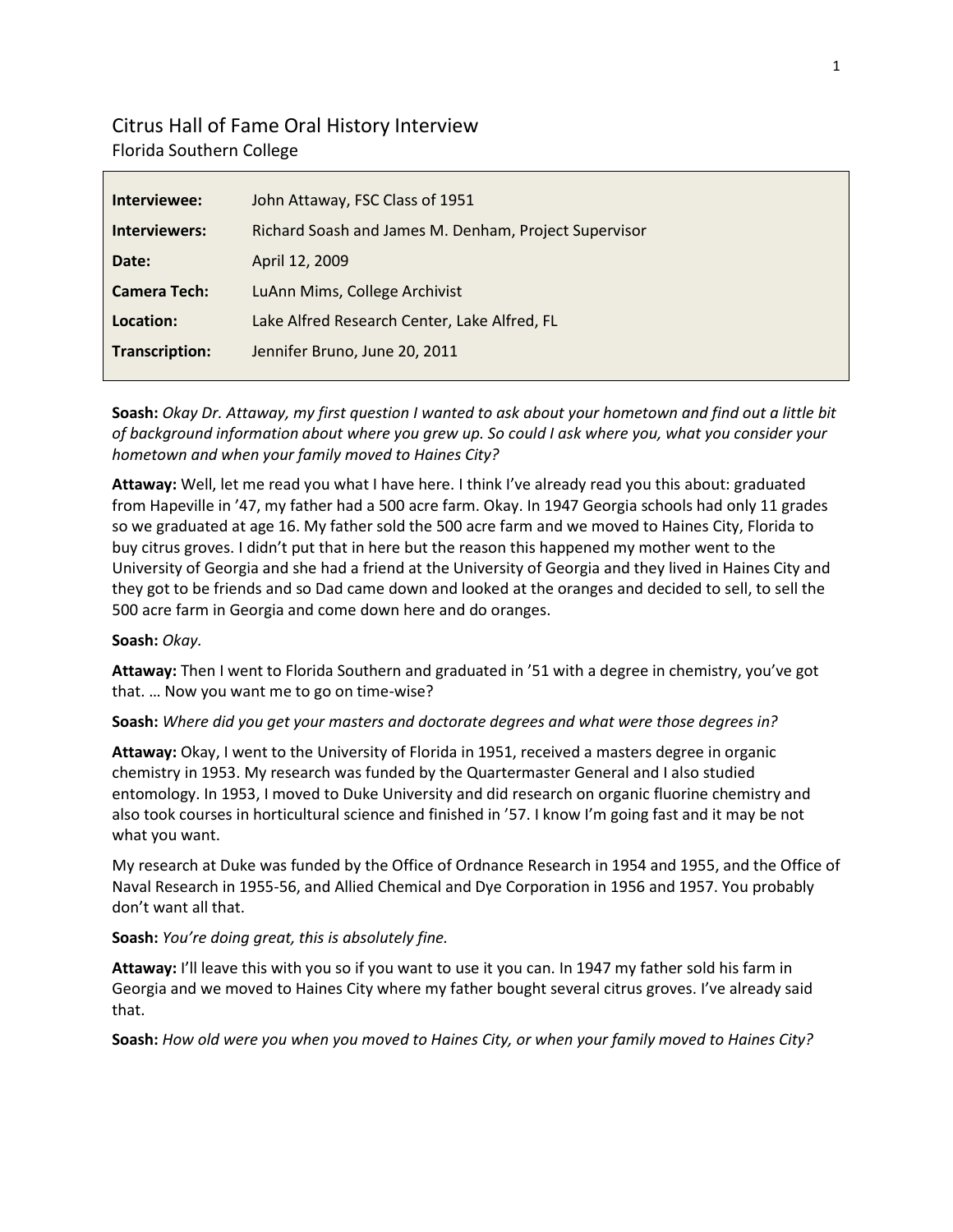# Citrus Hall of Fame Oral History Interview Florida Southern College

| Interviewee:          | John Attaway, FSC Class of 1951                       |
|-----------------------|-------------------------------------------------------|
| Interviewers:         | Richard Soash and James M. Denham, Project Supervisor |
| Date:                 | April 12, 2009                                        |
| <b>Camera Tech:</b>   | LuAnn Mims, College Archivist                         |
| Location:             | Lake Alfred Research Center, Lake Alfred, FL          |
| <b>Transcription:</b> | Jennifer Bruno, June 20, 2011                         |
|                       |                                                       |

**Soash:** *Okay Dr. Attaway, my first question I wanted to ask about your hometown and find out a little bit of background information about where you grew up. So could I ask where you, what you consider your hometown and when your family moved to Haines City?*

**Attaway:** Well, let me read you what I have here. I think I've already read you this about: graduated from Hapeville in '47, my father had a 500 acre farm. Okay. In 1947 Georgia schools had only 11 grades so we graduated at age 16. My father sold the 500 acre farm and we moved to Haines City, Florida to buy citrus groves. I didn't put that in here but the reason this happened my mother went to the University of Georgia and she had a friend at the University of Georgia and they lived in Haines City and they got to be friends and so Dad came down and looked at the oranges and decided to sell, to sell the 500 acre farm in Georgia and come down here and do oranges.

# **Soash:** *Okay.*

**Attaway:** Then I went to Florida Southern and graduated in '51 with a degree in chemistry, you've got that. … Now you want me to go on time-wise?

**Soash:** *Where did you get your masters and doctorate degrees and what were those degrees in?*

**Attaway:** Okay, I went to the University of Florida in 1951, received a masters degree in organic chemistry in 1953. My research was funded by the Quartermaster General and I also studied entomology. In 1953, I moved to Duke University and did research on organic fluorine chemistry and also took courses in horticultural science and finished in '57. I know I'm going fast and it may be not what you want.

My research at Duke was funded by the Office of Ordnance Research in 1954 and 1955, and the Office of Naval Research in 1955-56, and Allied Chemical and Dye Corporation in 1956 and 1957. You probably don't want all that.

# **Soash:** *You're doing great, this is absolutely fine.*

**Attaway:** I'll leave this with you so if you want to use it you can. In 1947 my father sold his farm in Georgia and we moved to Haines City where my father bought several citrus groves. I've already said that.

**Soash:** *How old were you when you moved to Haines City, or when your family moved to Haines City?*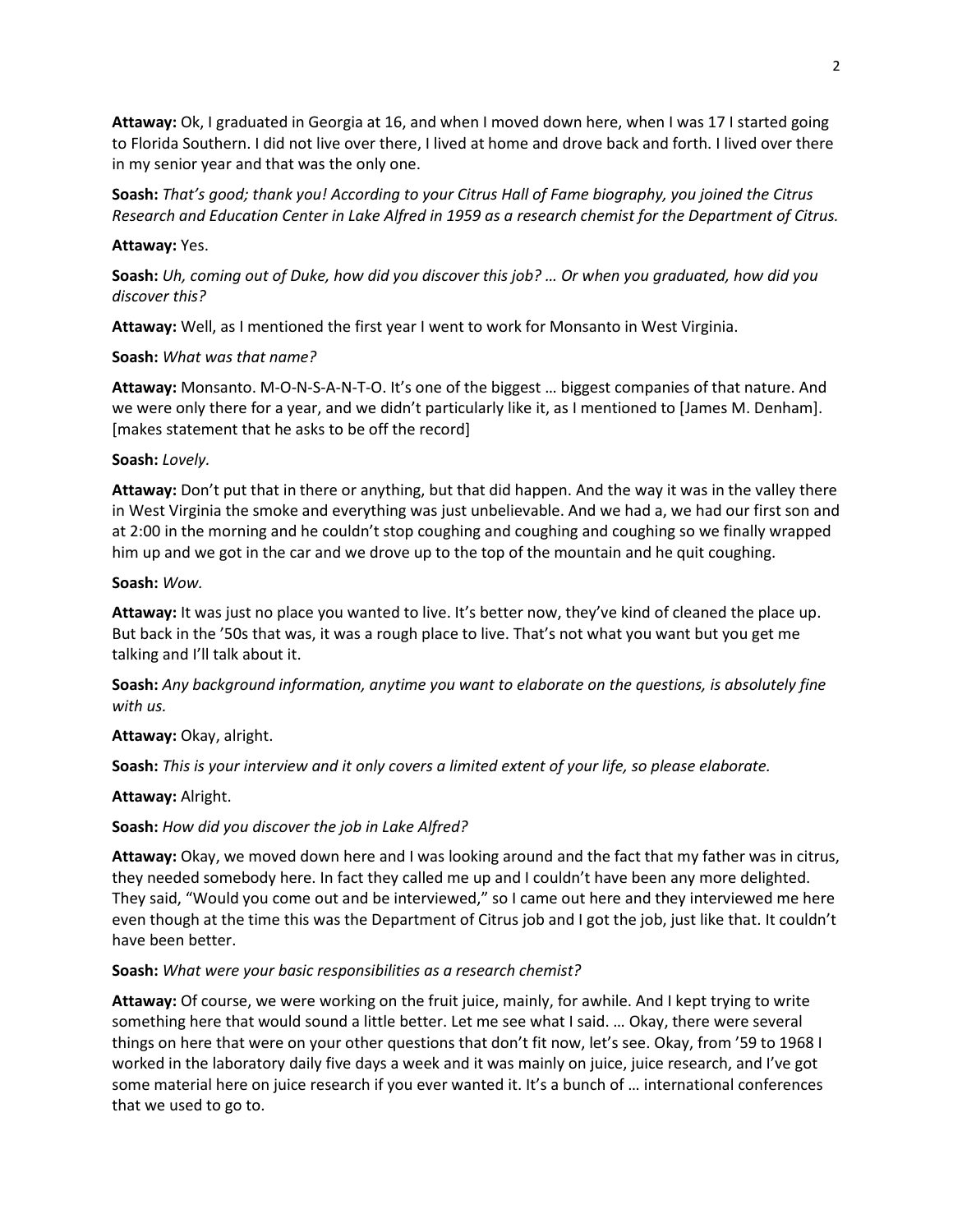**Attaway:** Ok, I graduated in Georgia at 16, and when I moved down here, when I was 17 I started going to Florida Southern. I did not live over there, I lived at home and drove back and forth. I lived over there in my senior year and that was the only one.

**Soash:** *That's good; thank you! According to your Citrus Hall of Fame biography, you joined the Citrus Research and Education Center in Lake Alfred in 1959 as a research chemist for the Department of Citrus.*

#### **Attaway:** Yes.

**Soash:** *Uh, coming out of Duke, how did you discover this job? … Or when you graduated, how did you discover this?*

**Attaway:** Well, as I mentioned the first year I went to work for Monsanto in West Virginia.

### **Soash:** *What was that name?*

**Attaway:** Monsanto. M-O-N-S-A-N-T-O. It's one of the biggest … biggest companies of that nature. And we were only there for a year, and we didn't particularly like it, as I mentioned to [James M. Denham]. [makes statement that he asks to be off the record]

#### **Soash:** *Lovely.*

**Attaway:** Don't put that in there or anything, but that did happen. And the way it was in the valley there in West Virginia the smoke and everything was just unbelievable. And we had a, we had our first son and at 2:00 in the morning and he couldn't stop coughing and coughing and coughing so we finally wrapped him up and we got in the car and we drove up to the top of the mountain and he quit coughing.

### **Soash:** *Wow.*

**Attaway:** It was just no place you wanted to live. It's better now, they've kind of cleaned the place up. But back in the '50s that was, it was a rough place to live. That's not what you want but you get me talking and I'll talk about it.

**Soash:** *Any background information, anytime you want to elaborate on the questions, is absolutely fine with us.*

# **Attaway:** Okay, alright.

**Soash:** *This is your interview and it only covers a limited extent of your life, so please elaborate.*

#### **Attaway:** Alright.

# **Soash:** *How did you discover the job in Lake Alfred?*

**Attaway:** Okay, we moved down here and I was looking around and the fact that my father was in citrus, they needed somebody here. In fact they called me up and I couldn't have been any more delighted. They said, "Would you come out and be interviewed," so I came out here and they interviewed me here even though at the time this was the Department of Citrus job and I got the job, just like that. It couldn't have been better.

#### **Soash:** *What were your basic responsibilities as a research chemist?*

**Attaway:** Of course, we were working on the fruit juice, mainly, for awhile. And I kept trying to write something here that would sound a little better. Let me see what I said. … Okay, there were several things on here that were on your other questions that don't fit now, let's see. Okay, from '59 to 1968 I worked in the laboratory daily five days a week and it was mainly on juice, juice research, and I've got some material here on juice research if you ever wanted it. It's a bunch of … international conferences that we used to go to.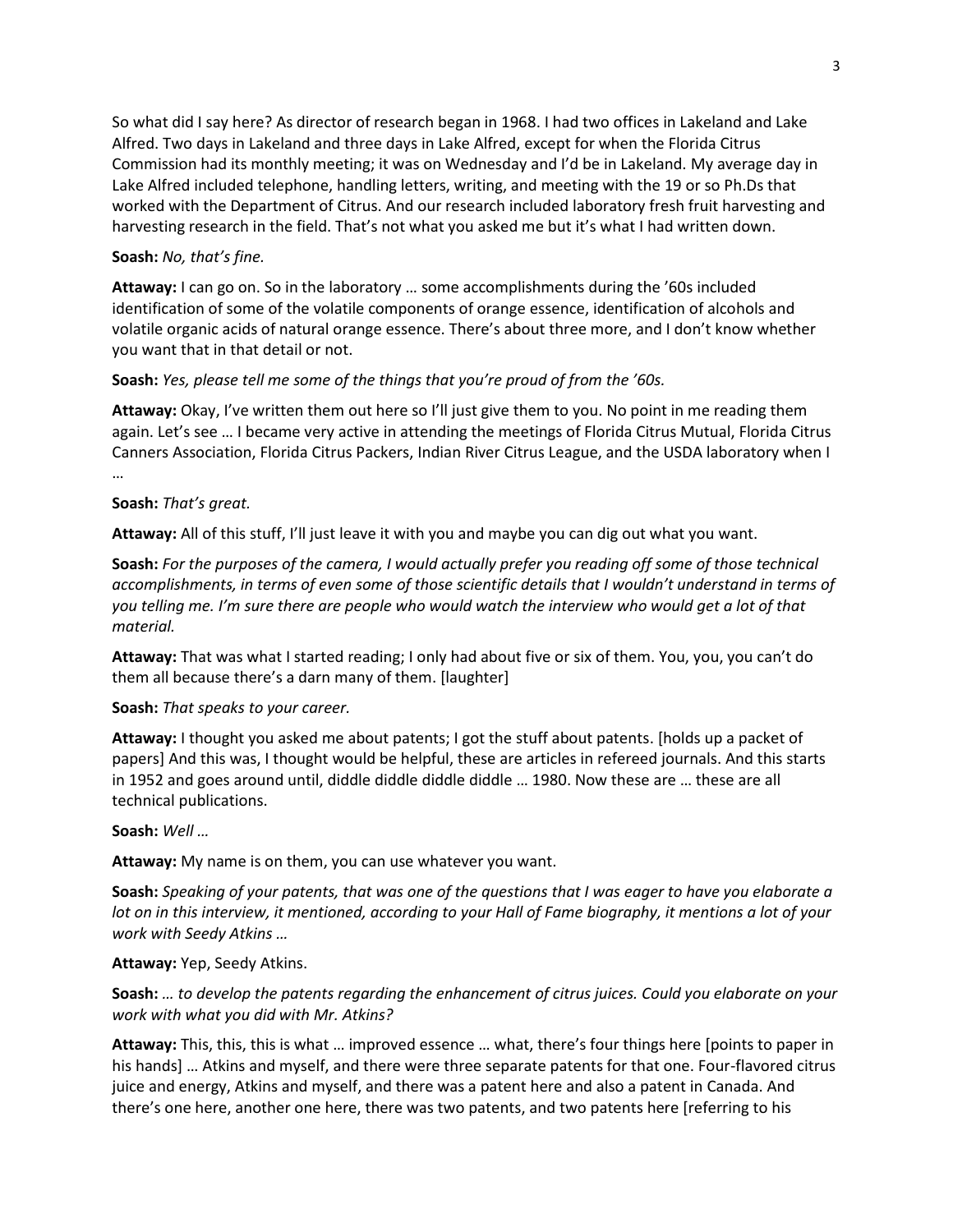So what did I say here? As director of research began in 1968. I had two offices in Lakeland and Lake Alfred. Two days in Lakeland and three days in Lake Alfred, except for when the Florida Citrus Commission had its monthly meeting; it was on Wednesday and I'd be in Lakeland. My average day in Lake Alfred included telephone, handling letters, writing, and meeting with the 19 or so Ph.Ds that worked with the Department of Citrus. And our research included laboratory fresh fruit harvesting and harvesting research in the field. That's not what you asked me but it's what I had written down.

### **Soash:** *No, that's fine.*

**Attaway:** I can go on. So in the laboratory … some accomplishments during the '60s included identification of some of the volatile components of orange essence, identification of alcohols and volatile organic acids of natural orange essence. There's about three more, and I don't know whether you want that in that detail or not.

### **Soash:** *Yes, please tell me some of the things that you're proud of from the '60s.*

**Attaway:** Okay, I've written them out here so I'll just give them to you. No point in me reading them again. Let's see … I became very active in attending the meetings of Florida Citrus Mutual, Florida Citrus Canners Association, Florida Citrus Packers, Indian River Citrus League, and the USDA laboratory when I …

### **Soash:** *That's great.*

**Attaway:** All of this stuff, I'll just leave it with you and maybe you can dig out what you want.

**Soash:** *For the purposes of the camera, I would actually prefer you reading off some of those technical accomplishments, in terms of even some of those scientific details that I wouldn't understand in terms of you telling me. I'm sure there are people who would watch the interview who would get a lot of that material.*

**Attaway:** That was what I started reading; I only had about five or six of them. You, you, you can't do them all because there's a darn many of them. [laughter]

**Soash:** *That speaks to your career.*

**Attaway:** I thought you asked me about patents; I got the stuff about patents. [holds up a packet of papers] And this was, I thought would be helpful, these are articles in refereed journals. And this starts in 1952 and goes around until, diddle diddle diddle diddle … 1980. Now these are … these are all technical publications.

**Soash:** *Well …*

**Attaway:** My name is on them, you can use whatever you want.

**Soash:** *Speaking of your patents, that was one of the questions that I was eager to have you elaborate a lot on in this interview, it mentioned, according to your Hall of Fame biography, it mentions a lot of your work with Seedy Atkins …*

#### **Attaway:** Yep, Seedy Atkins.

**Soash:** *… to develop the patents regarding the enhancement of citrus juices. Could you elaborate on your work with what you did with Mr. Atkins?*

**Attaway:** This, this, this is what … improved essence … what, there's four things here [points to paper in his hands] … Atkins and myself, and there were three separate patents for that one. Four-flavored citrus juice and energy, Atkins and myself, and there was a patent here and also a patent in Canada. And there's one here, another one here, there was two patents, and two patents here [referring to his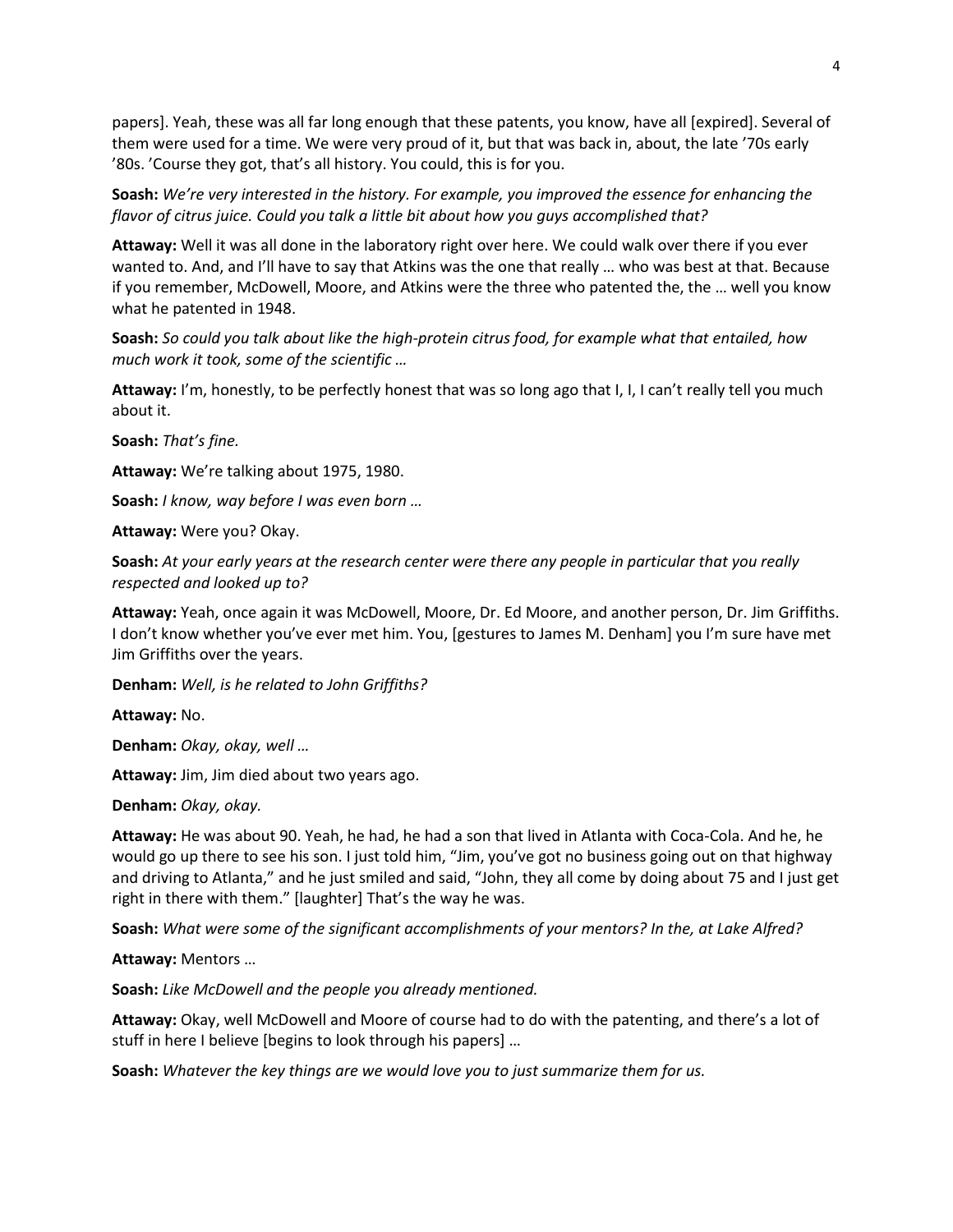papers]. Yeah, these was all far long enough that these patents, you know, have all [expired]. Several of them were used for a time. We were very proud of it, but that was back in, about, the late '70s early '80s. 'Course they got, that's all history. You could, this is for you.

**Soash:** *We're very interested in the history. For example, you improved the essence for enhancing the flavor of citrus juice. Could you talk a little bit about how you guys accomplished that?*

**Attaway:** Well it was all done in the laboratory right over here. We could walk over there if you ever wanted to. And, and I'll have to say that Atkins was the one that really … who was best at that. Because if you remember, McDowell, Moore, and Atkins were the three who patented the, the … well you know what he patented in 1948.

**Soash:** *So could you talk about like the high-protein citrus food, for example what that entailed, how much work it took, some of the scientific …*

**Attaway:** I'm, honestly, to be perfectly honest that was so long ago that I, I, I can't really tell you much about it.

**Soash:** *That's fine.*

**Attaway:** We're talking about 1975, 1980.

**Soash:** *I know, way before I was even born …*

**Attaway:** Were you? Okay.

**Soash:** *At your early years at the research center were there any people in particular that you really respected and looked up to?*

**Attaway:** Yeah, once again it was McDowell, Moore, Dr. Ed Moore, and another person, Dr. Jim Griffiths. I don't know whether you've ever met him. You, [gestures to James M. Denham] you I'm sure have met Jim Griffiths over the years.

**Denham:** *Well, is he related to John Griffiths?*

**Attaway:** No.

**Denham:** *Okay, okay, well …*

**Attaway:** Jim, Jim died about two years ago.

**Denham:** *Okay, okay.*

**Attaway:** He was about 90. Yeah, he had, he had a son that lived in Atlanta with Coca-Cola. And he, he would go up there to see his son. I just told him, "Jim, you've got no business going out on that highway and driving to Atlanta," and he just smiled and said, "John, they all come by doing about 75 and I just get right in there with them." [laughter] That's the way he was.

**Soash:** *What were some of the significant accomplishments of your mentors? In the, at Lake Alfred?*

**Attaway:** Mentors …

**Soash:** *Like McDowell and the people you already mentioned.*

**Attaway:** Okay, well McDowell and Moore of course had to do with the patenting, and there's a lot of stuff in here I believe [begins to look through his papers] …

**Soash:** *Whatever the key things are we would love you to just summarize them for us.*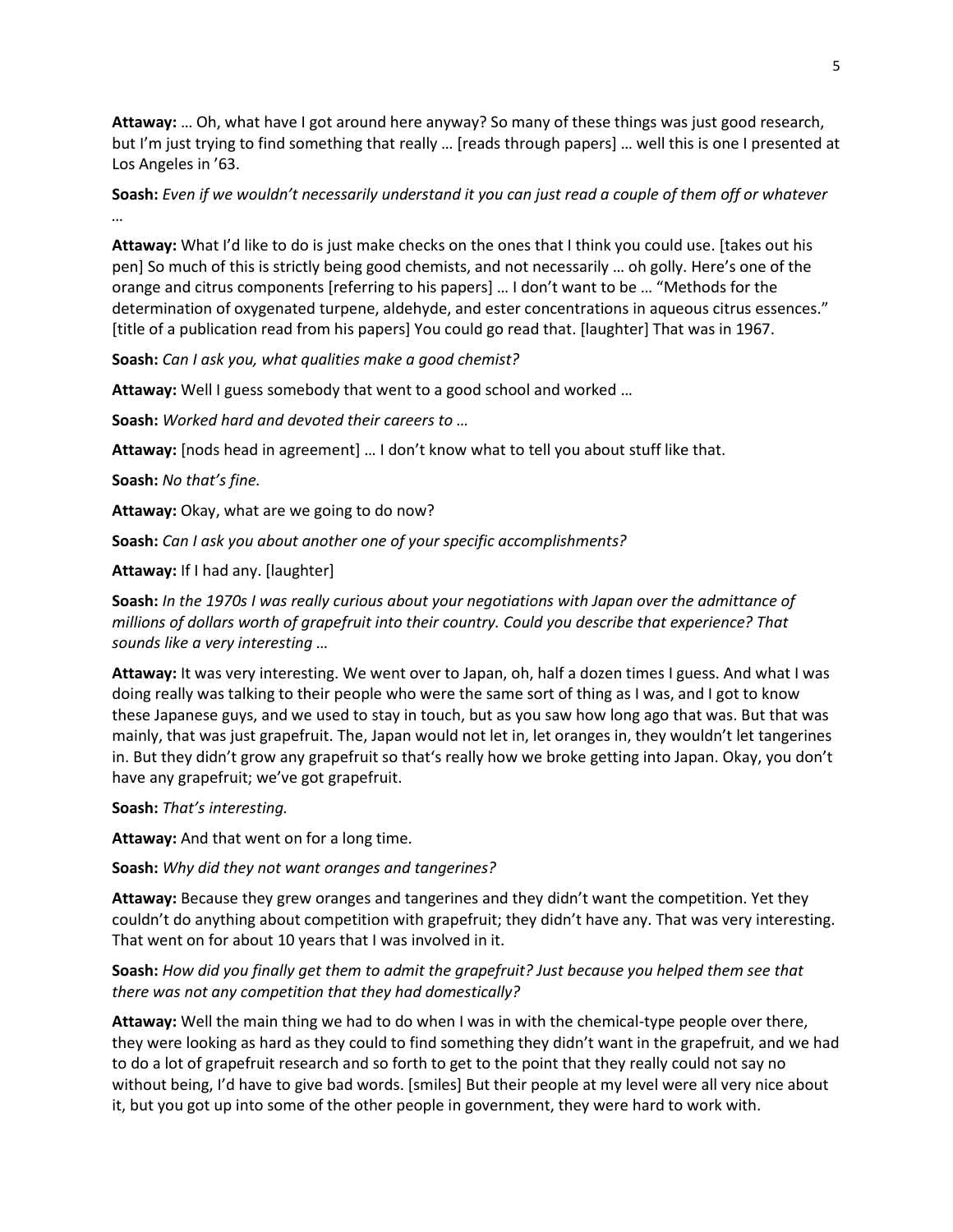**Attaway:** … Oh, what have I got around here anyway? So many of these things was just good research, but I'm just trying to find something that really … [reads through papers] … well this is one I presented at Los Angeles in '63.

**Soash:** *Even if we wouldn't necessarily understand it you can just read a couple of them off or whatever …*

**Attaway:** What I'd like to do is just make checks on the ones that I think you could use. [takes out his pen] So much of this is strictly being good chemists, and not necessarily … oh golly. Here's one of the orange and citrus components [referring to his papers] … I don't want to be … "Methods for the determination of oxygenated turpene, aldehyde, and ester concentrations in aqueous citrus essences." [title of a publication read from his papers] You could go read that. [laughter] That was in 1967.

**Soash:** *Can I ask you, what qualities make a good chemist?*

**Attaway:** Well I guess somebody that went to a good school and worked …

**Soash:** *Worked hard and devoted their careers to …*

**Attaway:** [nods head in agreement] … I don't know what to tell you about stuff like that.

**Soash:** *No that's fine.*

**Attaway:** Okay, what are we going to do now?

**Soash:** *Can I ask you about another one of your specific accomplishments?*

**Attaway:** If I had any. [laughter]

**Soash:** *In the 1970s I was really curious about your negotiations with Japan over the admittance of millions of dollars worth of grapefruit into their country. Could you describe that experience? That sounds like a very interesting …*

**Attaway:** It was very interesting. We went over to Japan, oh, half a dozen times I guess. And what I was doing really was talking to their people who were the same sort of thing as I was, and I got to know these Japanese guys, and we used to stay in touch, but as you saw how long ago that was. But that was mainly, that was just grapefruit. The, Japan would not let in, let oranges in, they wouldn't let tangerines in. But they didn't grow any grapefruit so that's really how we broke getting into Japan. Okay, you don't have any grapefruit; we've got grapefruit.

**Soash:** *That's interesting.*

**Attaway:** And that went on for a long time.

**Soash:** *Why did they not want oranges and tangerines?*

**Attaway:** Because they grew oranges and tangerines and they didn't want the competition. Yet they couldn't do anything about competition with grapefruit; they didn't have any. That was very interesting. That went on for about 10 years that I was involved in it.

# **Soash:** *How did you finally get them to admit the grapefruit? Just because you helped them see that there was not any competition that they had domestically?*

**Attaway:** Well the main thing we had to do when I was in with the chemical-type people over there, they were looking as hard as they could to find something they didn't want in the grapefruit, and we had to do a lot of grapefruit research and so forth to get to the point that they really could not say no without being, I'd have to give bad words. [smiles] But their people at my level were all very nice about it, but you got up into some of the other people in government, they were hard to work with.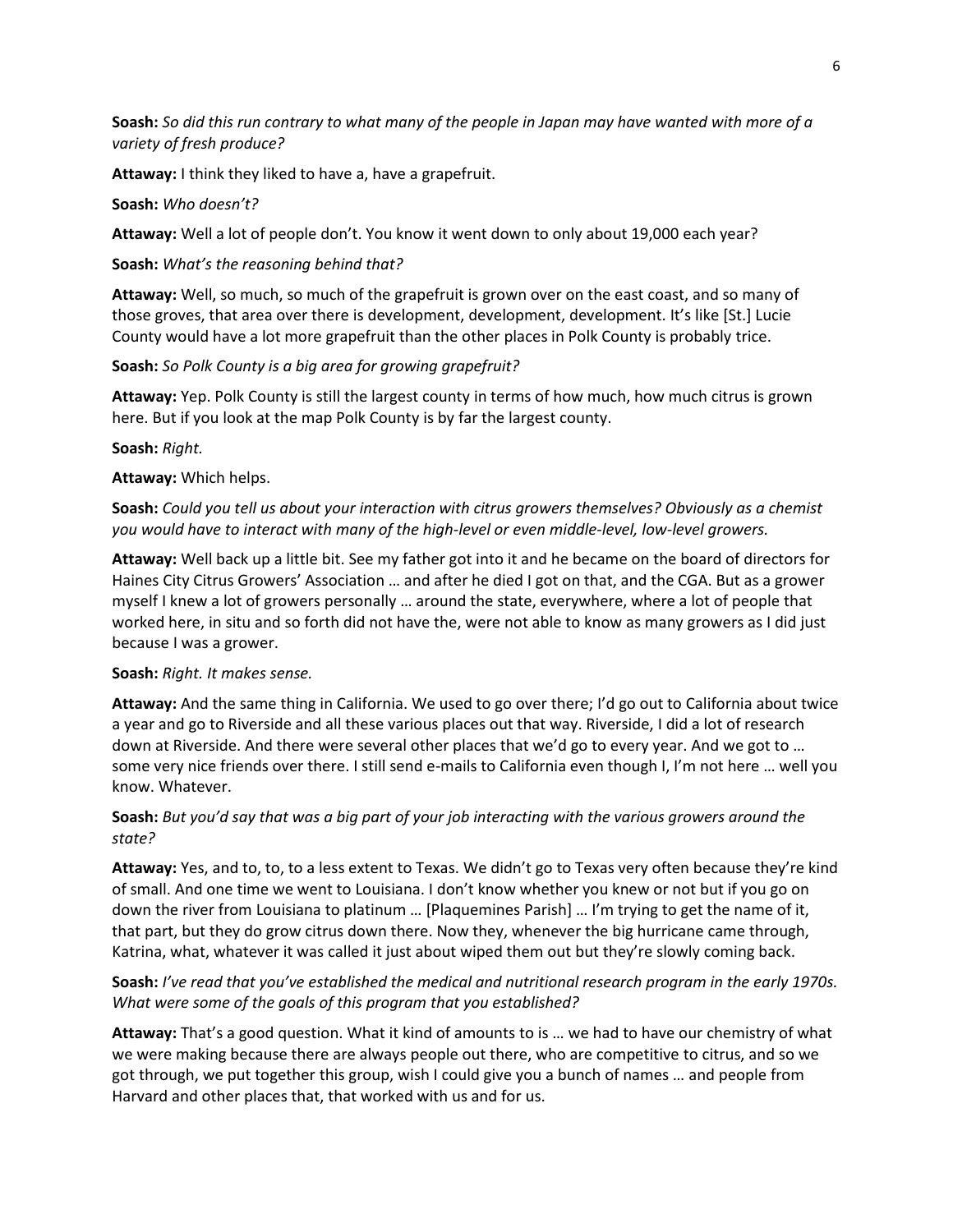**Soash:** *So did this run contrary to what many of the people in Japan may have wanted with more of a variety of fresh produce?*

**Attaway:** I think they liked to have a, have a grapefruit.

#### **Soash:** *Who doesn't?*

**Attaway:** Well a lot of people don't. You know it went down to only about 19,000 each year?

#### **Soash:** *What's the reasoning behind that?*

**Attaway:** Well, so much, so much of the grapefruit is grown over on the east coast, and so many of those groves, that area over there is development, development, development. It's like [St.] Lucie County would have a lot more grapefruit than the other places in Polk County is probably trice.

**Soash:** *So Polk County is a big area for growing grapefruit?*

**Attaway:** Yep. Polk County is still the largest county in terms of how much, how much citrus is grown here. But if you look at the map Polk County is by far the largest county.

**Soash:** *Right.*

#### **Attaway:** Which helps.

**Soash:** *Could you tell us about your interaction with citrus growers themselves? Obviously as a chemist you would have to interact with many of the high-level or even middle-level, low-level growers.*

**Attaway:** Well back up a little bit. See my father got into it and he became on the board of directors for Haines City Citrus Growers' Association … and after he died I got on that, and the CGA. But as a grower myself I knew a lot of growers personally … around the state, everywhere, where a lot of people that worked here, in situ and so forth did not have the, were not able to know as many growers as I did just because I was a grower.

#### **Soash:** *Right. It makes sense.*

**Attaway:** And the same thing in California. We used to go over there; I'd go out to California about twice a year and go to Riverside and all these various places out that way. Riverside, I did a lot of research down at Riverside. And there were several other places that we'd go to every year. And we got to … some very nice friends over there. I still send e-mails to California even though I, I'm not here … well you know. Whatever.

# **Soash:** *But you'd say that was a big part of your job interacting with the various growers around the state?*

**Attaway:** Yes, and to, to, to a less extent to Texas. We didn't go to Texas very often because they're kind of small. And one time we went to Louisiana. I don't know whether you knew or not but if you go on down the river from Louisiana to platinum … [Plaquemines Parish] … I'm trying to get the name of it, that part, but they do grow citrus down there. Now they, whenever the big hurricane came through, Katrina, what, whatever it was called it just about wiped them out but they're slowly coming back.

# **Soash:** *I've read that you've established the medical and nutritional research program in the early 1970s. What were some of the goals of this program that you established?*

**Attaway:** That's a good question. What it kind of amounts to is … we had to have our chemistry of what we were making because there are always people out there, who are competitive to citrus, and so we got through, we put together this group, wish I could give you a bunch of names … and people from Harvard and other places that, that worked with us and for us.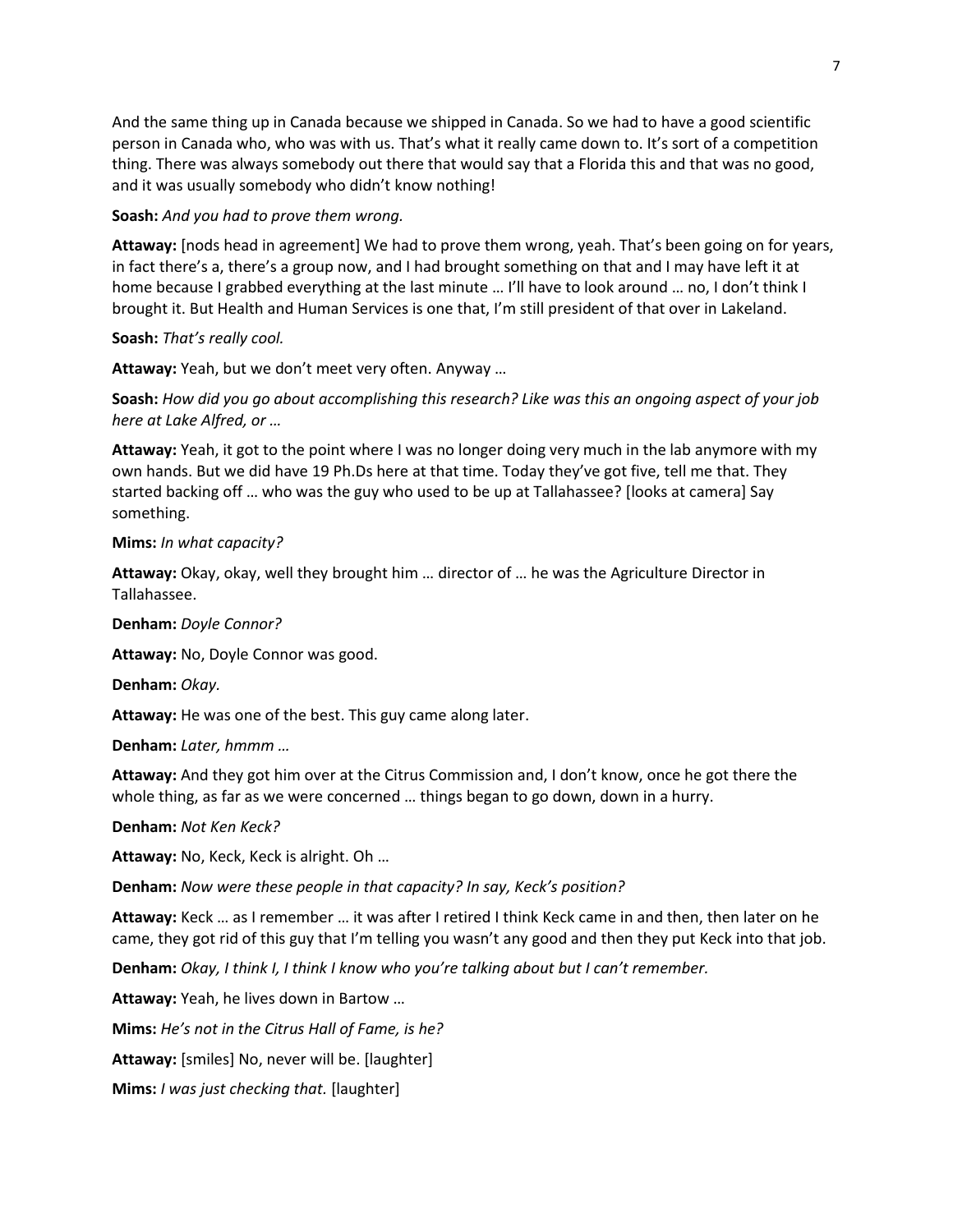And the same thing up in Canada because we shipped in Canada. So we had to have a good scientific person in Canada who, who was with us. That's what it really came down to. It's sort of a competition thing. There was always somebody out there that would say that a Florida this and that was no good, and it was usually somebody who didn't know nothing!

**Soash:** *And you had to prove them wrong.*

**Attaway:** [nods head in agreement] We had to prove them wrong, yeah. That's been going on for years, in fact there's a, there's a group now, and I had brought something on that and I may have left it at home because I grabbed everything at the last minute … I'll have to look around … no, I don't think I brought it. But Health and Human Services is one that, I'm still president of that over in Lakeland.

**Soash:** *That's really cool.*

**Attaway:** Yeah, but we don't meet very often. Anyway …

**Soash:** *How did you go about accomplishing this research? Like was this an ongoing aspect of your job here at Lake Alfred, or …*

**Attaway:** Yeah, it got to the point where I was no longer doing very much in the lab anymore with my own hands. But we did have 19 Ph.Ds here at that time. Today they've got five, tell me that. They started backing off … who was the guy who used to be up at Tallahassee? [looks at camera] Say something.

### **Mims:** *In what capacity?*

**Attaway:** Okay, okay, well they brought him … director of … he was the Agriculture Director in Tallahassee.

**Denham:** *Doyle Connor?*

**Attaway:** No, Doyle Connor was good.

**Denham:** *Okay.*

**Attaway:** He was one of the best. This guy came along later.

**Denham:** *Later, hmmm …*

**Attaway:** And they got him over at the Citrus Commission and, I don't know, once he got there the whole thing, as far as we were concerned … things began to go down, down in a hurry.

**Denham:** *Not Ken Keck?*

**Attaway:** No, Keck, Keck is alright. Oh …

**Denham:** *Now were these people in that capacity? In say, Keck's position?*

**Attaway:** Keck … as I remember … it was after I retired I think Keck came in and then, then later on he came, they got rid of this guy that I'm telling you wasn't any good and then they put Keck into that job.

**Denham:** *Okay, I think I, I think I know who you're talking about but I can't remember.*

**Attaway:** Yeah, he lives down in Bartow …

**Mims:** *He's not in the Citrus Hall of Fame, is he?*

**Attaway:** [smiles] No, never will be. [laughter]

**Mims:** *I was just checking that.* [laughter]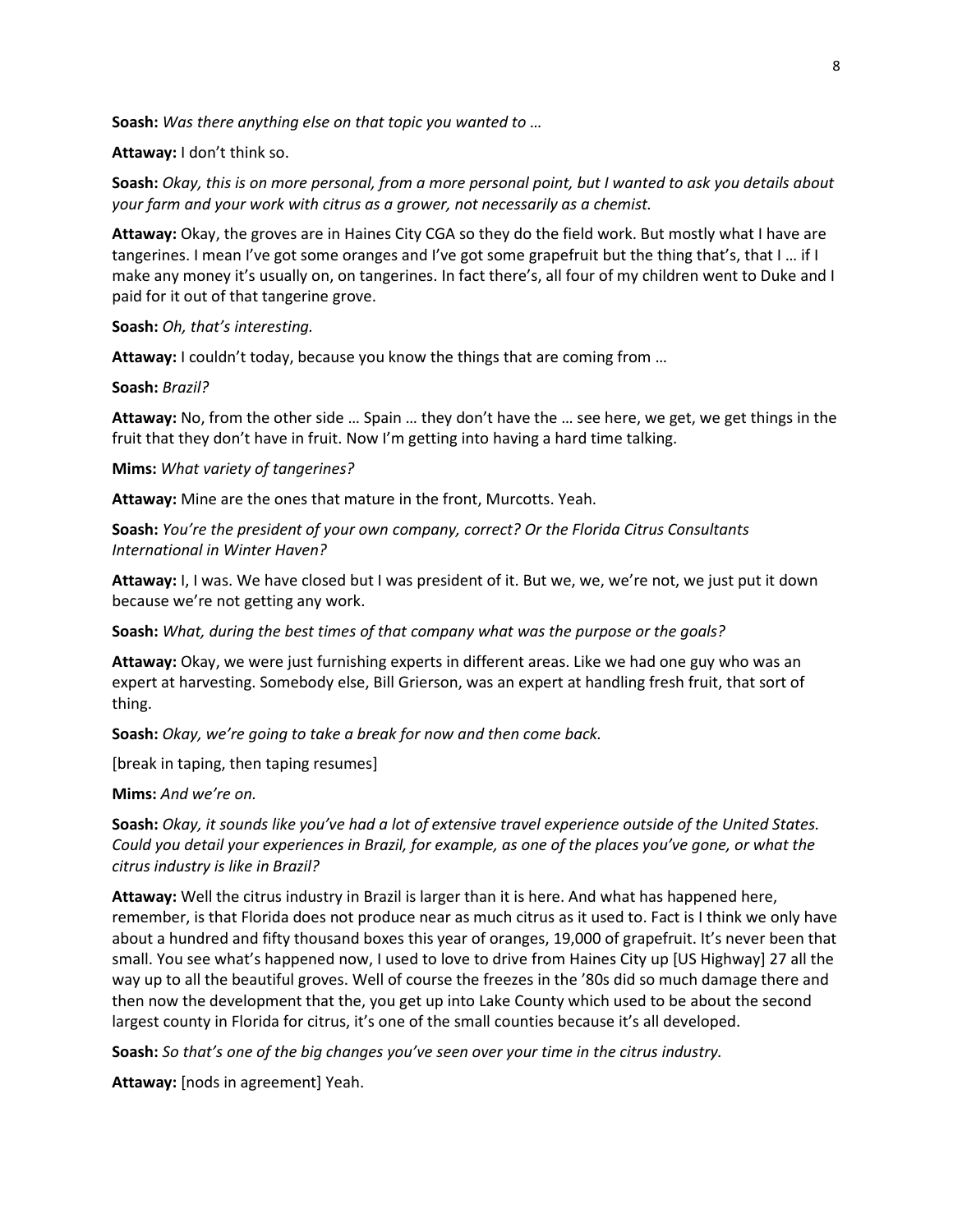**Soash:** *Was there anything else on that topic you wanted to …*

**Attaway:** I don't think so.

**Soash:** *Okay, this is on more personal, from a more personal point, but I wanted to ask you details about your farm and your work with citrus as a grower, not necessarily as a chemist.*

**Attaway:** Okay, the groves are in Haines City CGA so they do the field work. But mostly what I have are tangerines. I mean I've got some oranges and I've got some grapefruit but the thing that's, that I … if I make any money it's usually on, on tangerines. In fact there's, all four of my children went to Duke and I paid for it out of that tangerine grove.

**Soash:** *Oh, that's interesting.*

**Attaway:** I couldn't today, because you know the things that are coming from …

**Soash:** *Brazil?*

**Attaway:** No, from the other side … Spain … they don't have the … see here, we get, we get things in the fruit that they don't have in fruit. Now I'm getting into having a hard time talking.

**Mims:** *What variety of tangerines?*

**Attaway:** Mine are the ones that mature in the front, Murcotts. Yeah.

**Soash:** *You're the president of your own company, correct? Or the Florida Citrus Consultants International in Winter Haven?*

**Attaway:** I, I was. We have closed but I was president of it. But we, we, we're not, we just put it down because we're not getting any work.

**Soash:** *What, during the best times of that company what was the purpose or the goals?*

**Attaway:** Okay, we were just furnishing experts in different areas. Like we had one guy who was an expert at harvesting. Somebody else, Bill Grierson, was an expert at handling fresh fruit, that sort of thing.

**Soash:** *Okay, we're going to take a break for now and then come back.*

[break in taping, then taping resumes]

**Mims:** *And we're on.*

**Soash:** *Okay, it sounds like you've had a lot of extensive travel experience outside of the United States. Could you detail your experiences in Brazil, for example, as one of the places you've gone, or what the citrus industry is like in Brazil?*

**Attaway:** Well the citrus industry in Brazil is larger than it is here. And what has happened here, remember, is that Florida does not produce near as much citrus as it used to. Fact is I think we only have about a hundred and fifty thousand boxes this year of oranges, 19,000 of grapefruit. It's never been that small. You see what's happened now, I used to love to drive from Haines City up [US Highway] 27 all the way up to all the beautiful groves. Well of course the freezes in the '80s did so much damage there and then now the development that the, you get up into Lake County which used to be about the second largest county in Florida for citrus, it's one of the small counties because it's all developed.

**Soash:** *So that's one of the big changes you've seen over your time in the citrus industry.*

**Attaway:** [nods in agreement] Yeah.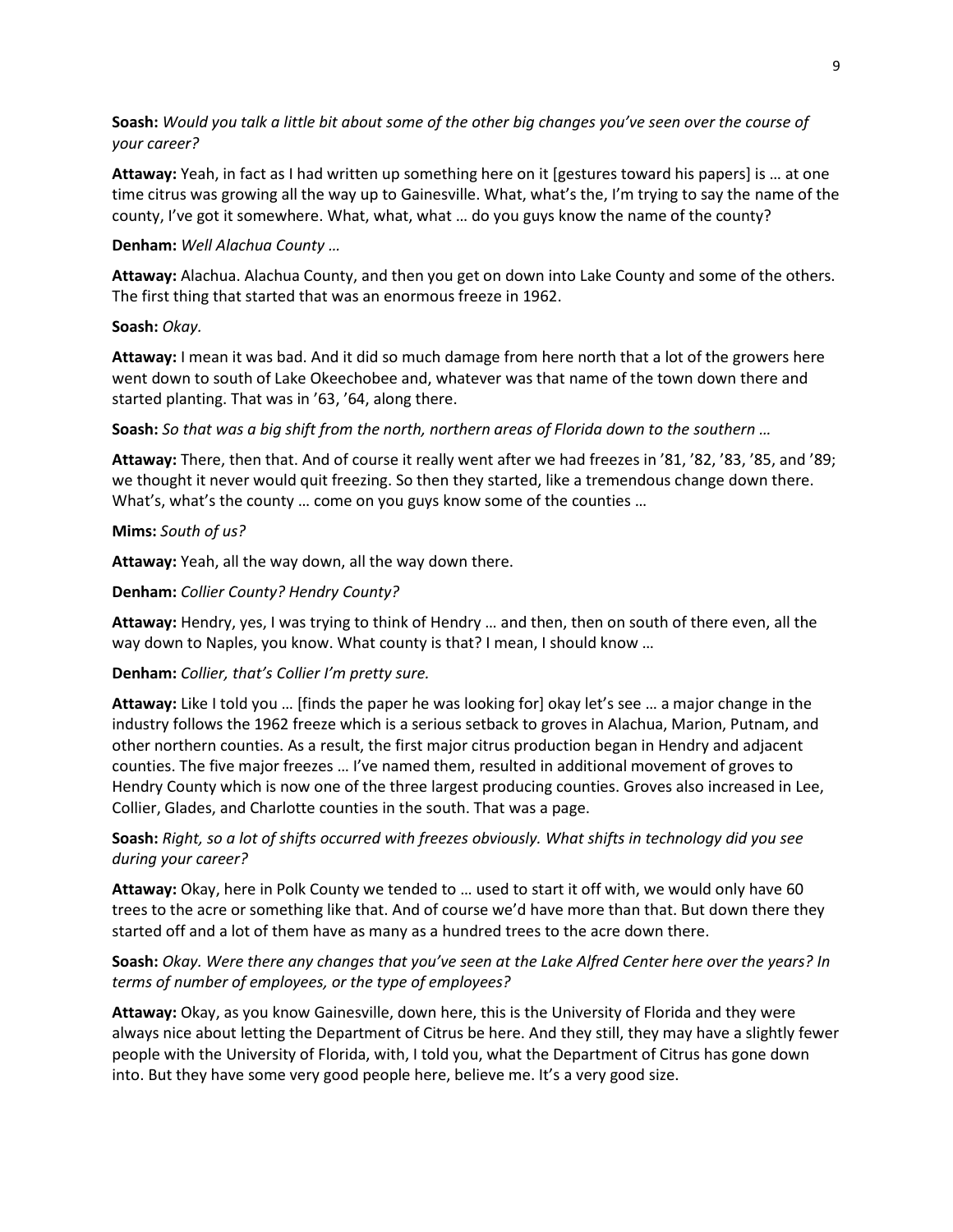# **Soash:** *Would you talk a little bit about some of the other big changes you've seen over the course of your career?*

**Attaway:** Yeah, in fact as I had written up something here on it [gestures toward his papers] is … at one time citrus was growing all the way up to Gainesville. What, what's the, I'm trying to say the name of the county, I've got it somewhere. What, what, what … do you guys know the name of the county?

#### **Denham:** *Well Alachua County …*

**Attaway:** Alachua. Alachua County, and then you get on down into Lake County and some of the others. The first thing that started that was an enormous freeze in 1962.

### **Soash:** *Okay.*

**Attaway:** I mean it was bad. And it did so much damage from here north that a lot of the growers here went down to south of Lake Okeechobee and, whatever was that name of the town down there and started planting. That was in '63, '64, along there.

**Soash:** *So that was a big shift from the north, northern areas of Florida down to the southern …*

**Attaway:** There, then that. And of course it really went after we had freezes in '81, '82, '83, '85, and '89; we thought it never would quit freezing. So then they started, like a tremendous change down there. What's, what's the county … come on you guys know some of the counties …

### **Mims:** *South of us?*

**Attaway:** Yeah, all the way down, all the way down there.

### **Denham:** *Collier County? Hendry County?*

**Attaway:** Hendry, yes, I was trying to think of Hendry … and then, then on south of there even, all the way down to Naples, you know. What county is that? I mean, I should know …

# **Denham:** *Collier, that's Collier I'm pretty sure.*

**Attaway:** Like I told you … [finds the paper he was looking for] okay let's see … a major change in the industry follows the 1962 freeze which is a serious setback to groves in Alachua, Marion, Putnam, and other northern counties. As a result, the first major citrus production began in Hendry and adjacent counties. The five major freezes … I've named them, resulted in additional movement of groves to Hendry County which is now one of the three largest producing counties. Groves also increased in Lee, Collier, Glades, and Charlotte counties in the south. That was a page.

# **Soash:** *Right, so a lot of shifts occurred with freezes obviously. What shifts in technology did you see during your career?*

**Attaway:** Okay, here in Polk County we tended to … used to start it off with, we would only have 60 trees to the acre or something like that. And of course we'd have more than that. But down there they started off and a lot of them have as many as a hundred trees to the acre down there.

# **Soash:** *Okay. Were there any changes that you've seen at the Lake Alfred Center here over the years? In terms of number of employees, or the type of employees?*

**Attaway:** Okay, as you know Gainesville, down here, this is the University of Florida and they were always nice about letting the Department of Citrus be here. And they still, they may have a slightly fewer people with the University of Florida, with, I told you, what the Department of Citrus has gone down into. But they have some very good people here, believe me. It's a very good size.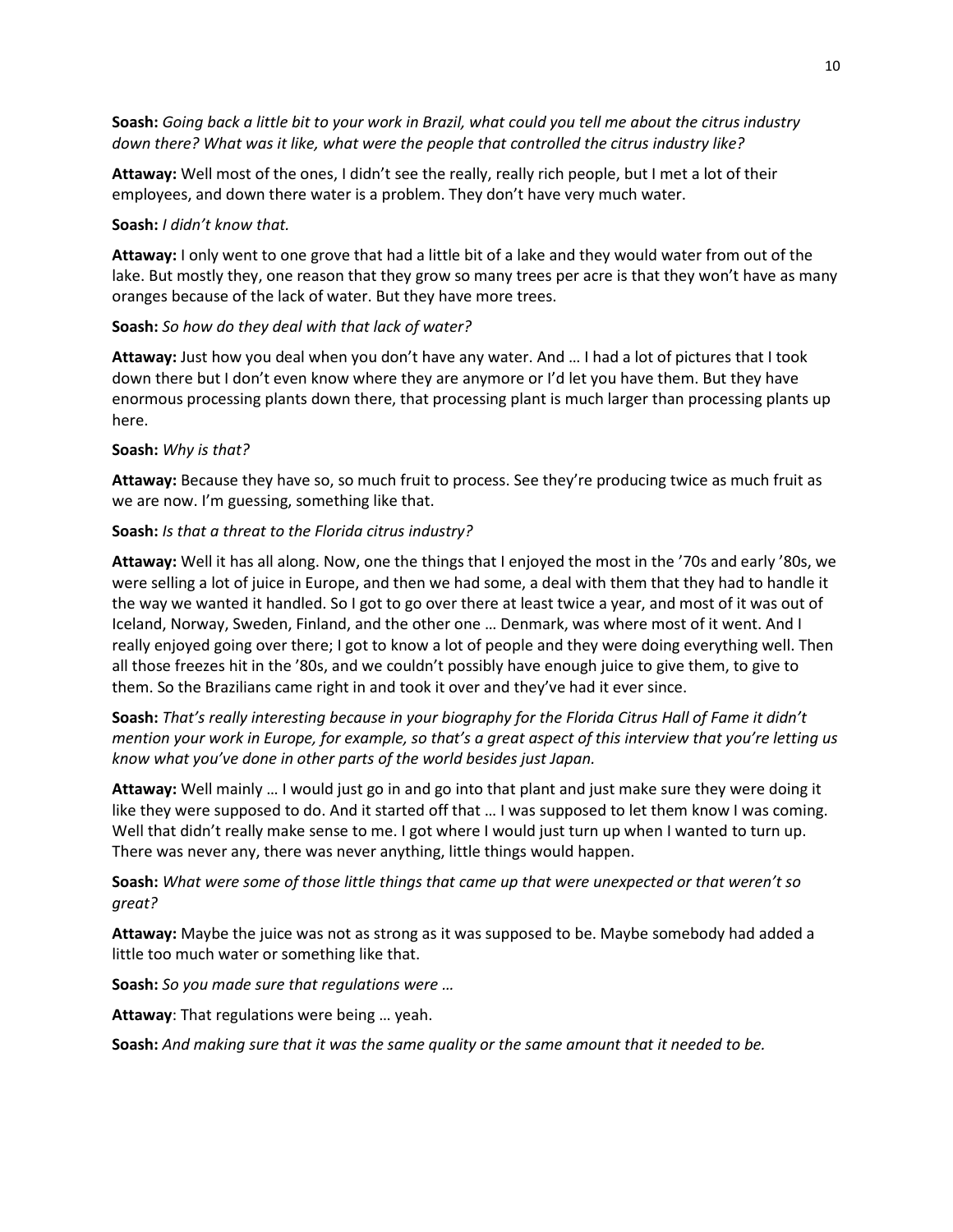**Soash:** *Going back a little bit to your work in Brazil, what could you tell me about the citrus industry down there? What was it like, what were the people that controlled the citrus industry like?*

**Attaway:** Well most of the ones, I didn't see the really, really rich people, but I met a lot of their employees, and down there water is a problem. They don't have very much water.

#### **Soash:** *I didn't know that.*

**Attaway:** I only went to one grove that had a little bit of a lake and they would water from out of the lake. But mostly they, one reason that they grow so many trees per acre is that they won't have as many oranges because of the lack of water. But they have more trees.

### **Soash:** *So how do they deal with that lack of water?*

**Attaway:** Just how you deal when you don't have any water. And … I had a lot of pictures that I took down there but I don't even know where they are anymore or I'd let you have them. But they have enormous processing plants down there, that processing plant is much larger than processing plants up here.

### **Soash:** *Why is that?*

**Attaway:** Because they have so, so much fruit to process. See they're producing twice as much fruit as we are now. I'm guessing, something like that.

# **Soash:** *Is that a threat to the Florida citrus industry?*

**Attaway:** Well it has all along. Now, one the things that I enjoyed the most in the '70s and early '80s, we were selling a lot of juice in Europe, and then we had some, a deal with them that they had to handle it the way we wanted it handled. So I got to go over there at least twice a year, and most of it was out of Iceland, Norway, Sweden, Finland, and the other one … Denmark, was where most of it went. And I really enjoyed going over there; I got to know a lot of people and they were doing everything well. Then all those freezes hit in the '80s, and we couldn't possibly have enough juice to give them, to give to them. So the Brazilians came right in and took it over and they've had it ever since.

# **Soash:** *That's really interesting because in your biography for the Florida Citrus Hall of Fame it didn't mention your work in Europe, for example, so that's a great aspect of this interview that you're letting us know what you've done in other parts of the world besides just Japan.*

**Attaway:** Well mainly … I would just go in and go into that plant and just make sure they were doing it like they were supposed to do. And it started off that … I was supposed to let them know I was coming. Well that didn't really make sense to me. I got where I would just turn up when I wanted to turn up. There was never any, there was never anything, little things would happen.

# **Soash:** *What were some of those little things that came up that were unexpected or that weren't so great?*

**Attaway:** Maybe the juice was not as strong as it was supposed to be. Maybe somebody had added a little too much water or something like that.

**Soash:** *So you made sure that regulations were …*

**Attaway**: That regulations were being … yeah.

**Soash:** *And making sure that it was the same quality or the same amount that it needed to be.*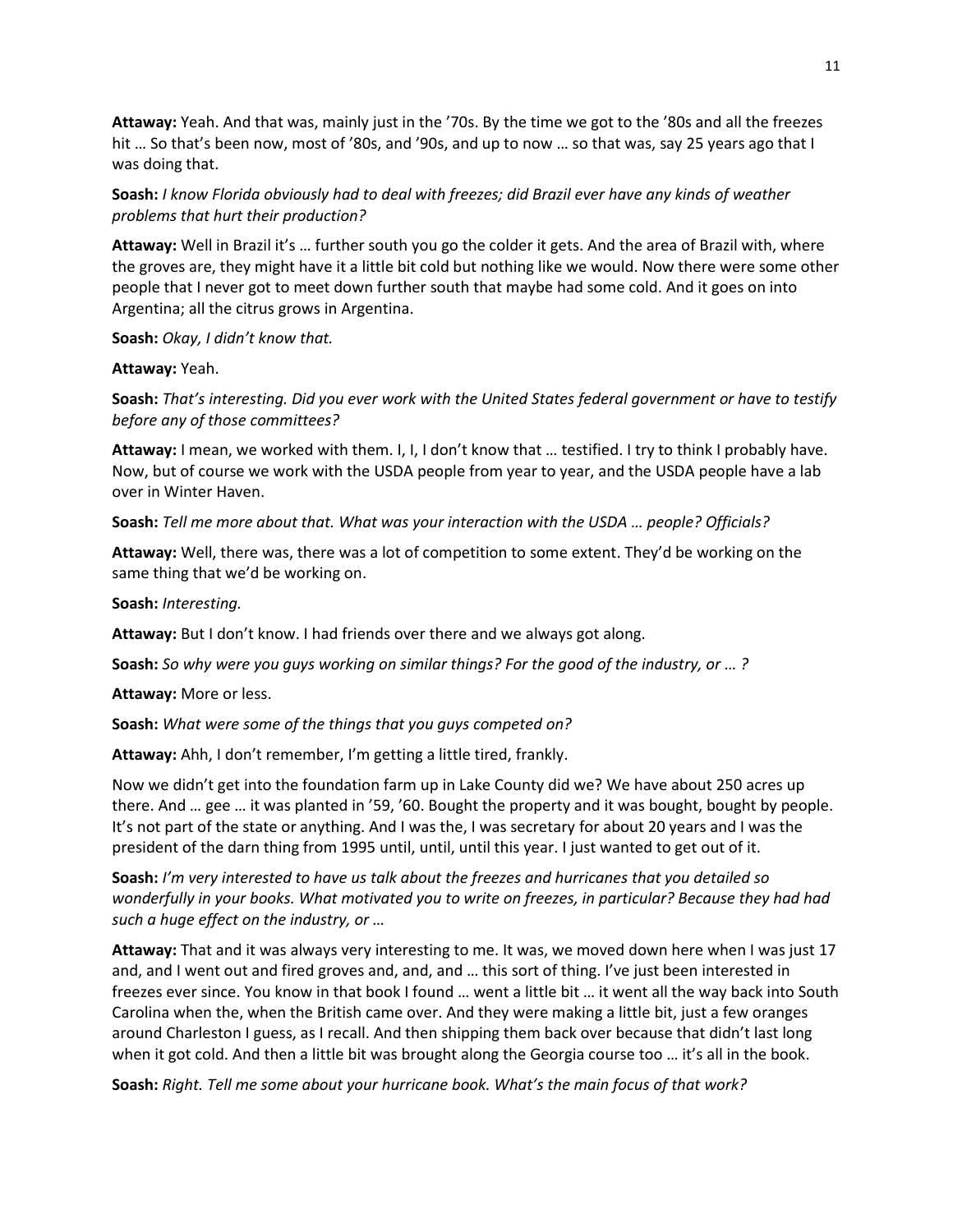**Attaway:** Yeah. And that was, mainly just in the '70s. By the time we got to the '80s and all the freezes hit … So that's been now, most of '80s, and '90s, and up to now … so that was, say 25 years ago that I was doing that.

**Soash:** *I know Florida obviously had to deal with freezes; did Brazil ever have any kinds of weather problems that hurt their production?*

**Attaway:** Well in Brazil it's … further south you go the colder it gets. And the area of Brazil with, where the groves are, they might have it a little bit cold but nothing like we would. Now there were some other people that I never got to meet down further south that maybe had some cold. And it goes on into Argentina; all the citrus grows in Argentina.

**Soash:** *Okay, I didn't know that.*

**Attaway:** Yeah.

**Soash:** *That's interesting. Did you ever work with the United States federal government or have to testify before any of those committees?*

**Attaway:** I mean, we worked with them. I, I, I don't know that … testified. I try to think I probably have. Now, but of course we work with the USDA people from year to year, and the USDA people have a lab over in Winter Haven.

**Soash:** *Tell me more about that. What was your interaction with the USDA … people? Officials?*

**Attaway:** Well, there was, there was a lot of competition to some extent. They'd be working on the same thing that we'd be working on.

**Soash:** *Interesting.*

**Attaway:** But I don't know. I had friends over there and we always got along.

**Soash:** *So why were you guys working on similar things? For the good of the industry, or … ?*

**Attaway:** More or less.

**Soash:** *What were some of the things that you guys competed on?*

**Attaway:** Ahh, I don't remember, I'm getting a little tired, frankly.

Now we didn't get into the foundation farm up in Lake County did we? We have about 250 acres up there. And … gee … it was planted in '59, '60. Bought the property and it was bought, bought by people. It's not part of the state or anything. And I was the, I was secretary for about 20 years and I was the president of the darn thing from 1995 until, until, until this year. I just wanted to get out of it.

**Soash:** *I'm very interested to have us talk about the freezes and hurricanes that you detailed so wonderfully in your books. What motivated you to write on freezes, in particular? Because they had had such a huge effect on the industry, or …*

**Attaway:** That and it was always very interesting to me. It was, we moved down here when I was just 17 and, and I went out and fired groves and, and, and … this sort of thing. I've just been interested in freezes ever since. You know in that book I found … went a little bit … it went all the way back into South Carolina when the, when the British came over. And they were making a little bit, just a few oranges around Charleston I guess, as I recall. And then shipping them back over because that didn't last long when it got cold. And then a little bit was brought along the Georgia course too … it's all in the book.

**Soash:** *Right. Tell me some about your hurricane book. What's the main focus of that work?*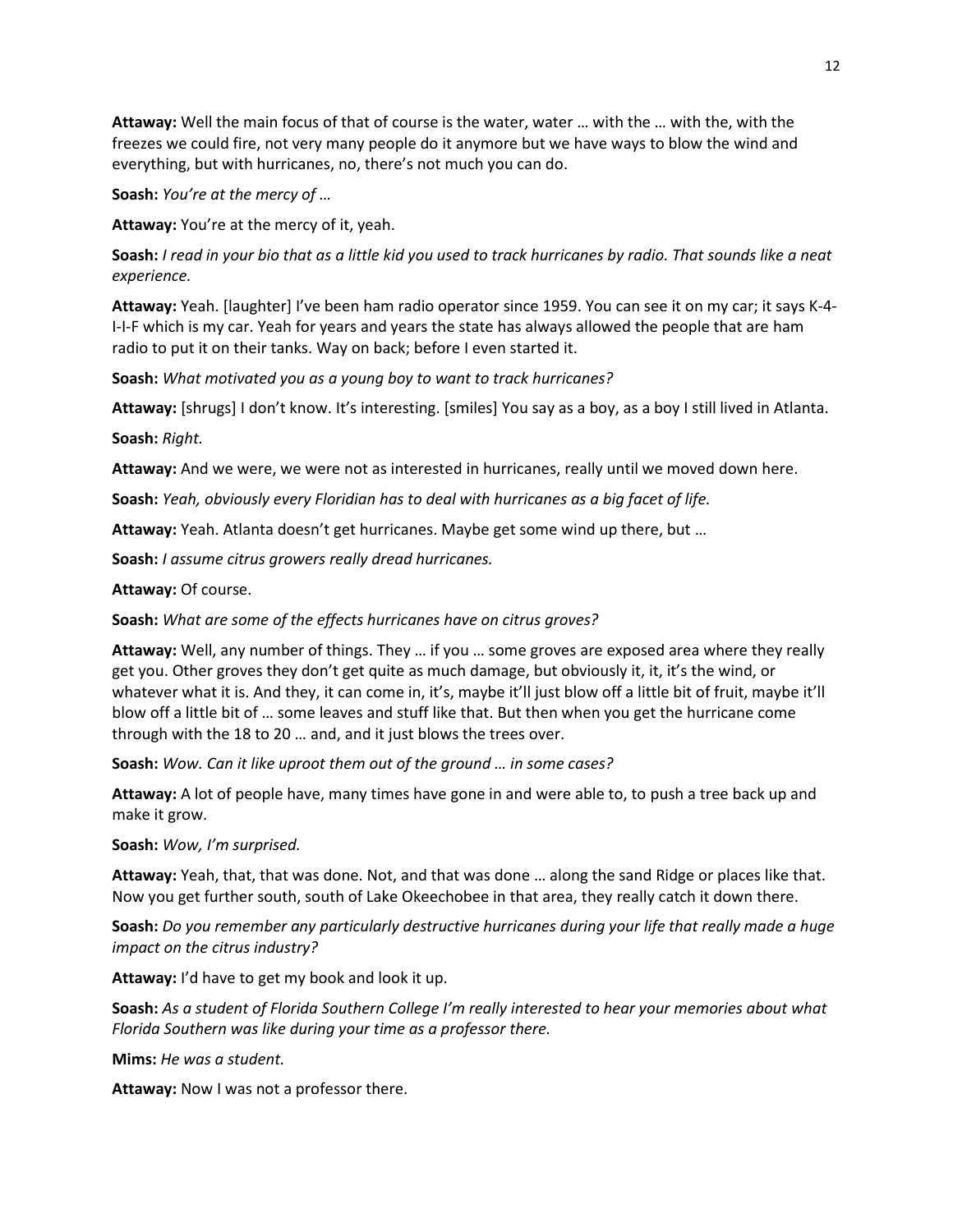**Attaway:** Well the main focus of that of course is the water, water … with the … with the, with the freezes we could fire, not very many people do it anymore but we have ways to blow the wind and everything, but with hurricanes, no, there's not much you can do.

**Soash:** *You're at the mercy of …*

**Attaway:** You're at the mercy of it, yeah.

**Soash:** *I read in your bio that as a little kid you used to track hurricanes by radio. That sounds like a neat experience.*

**Attaway:** Yeah. [laughter] I've been ham radio operator since 1959. You can see it on my car; it says K-4- I-I-F which is my car. Yeah for years and years the state has always allowed the people that are ham radio to put it on their tanks. Way on back; before I even started it.

**Soash:** *What motivated you as a young boy to want to track hurricanes?*

**Attaway:** [shrugs] I don't know. It's interesting. [smiles] You say as a boy, as a boy I still lived in Atlanta.

**Soash:** *Right.*

**Attaway:** And we were, we were not as interested in hurricanes, really until we moved down here.

**Soash:** *Yeah, obviously every Floridian has to deal with hurricanes as a big facet of life.*

**Attaway:** Yeah. Atlanta doesn't get hurricanes. Maybe get some wind up there, but …

**Soash:** *I assume citrus growers really dread hurricanes.*

**Attaway:** Of course.

**Soash:** *What are some of the effects hurricanes have on citrus groves?*

**Attaway:** Well, any number of things. They … if you … some groves are exposed area where they really get you. Other groves they don't get quite as much damage, but obviously it, it, it's the wind, or whatever what it is. And they, it can come in, it's, maybe it'll just blow off a little bit of fruit, maybe it'll blow off a little bit of … some leaves and stuff like that. But then when you get the hurricane come through with the 18 to 20 … and, and it just blows the trees over.

**Soash:** *Wow. Can it like uproot them out of the ground … in some cases?*

**Attaway:** A lot of people have, many times have gone in and were able to, to push a tree back up and make it grow.

**Soash:** *Wow, I'm surprised.*

**Attaway:** Yeah, that, that was done. Not, and that was done … along the sand Ridge or places like that. Now you get further south, south of Lake Okeechobee in that area, they really catch it down there.

**Soash:** *Do you remember any particularly destructive hurricanes during your life that really made a huge impact on the citrus industry?*

**Attaway:** I'd have to get my book and look it up.

**Soash:** *As a student of Florida Southern College I'm really interested to hear your memories about what Florida Southern was like during your time as a professor there.*

**Mims:** *He was a student.*

**Attaway:** Now I was not a professor there.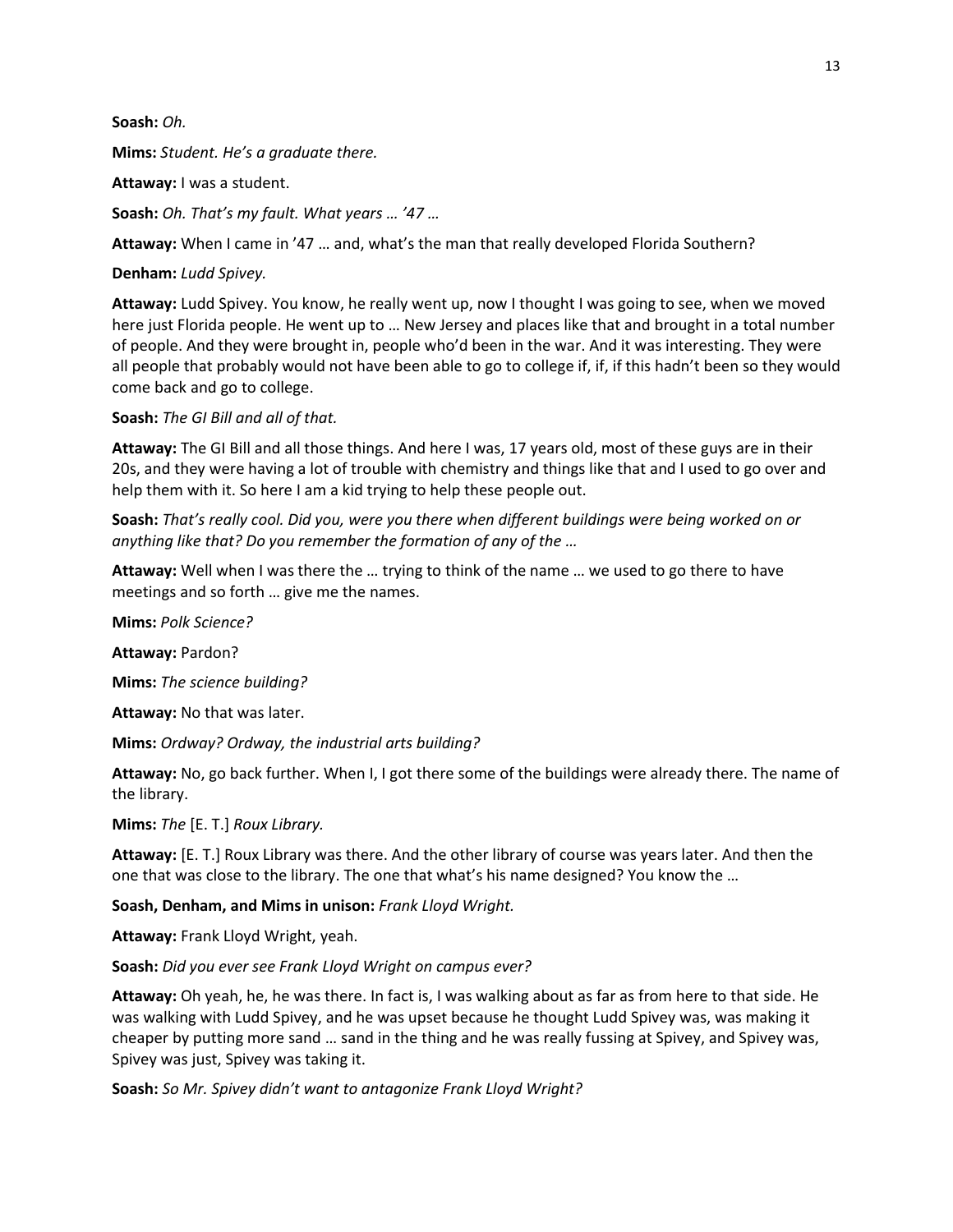**Soash:** *Oh.*

**Mims:** *Student. He's a graduate there.*

**Attaway:** I was a student.

**Soash:** *Oh. That's my fault. What years … '47 …*

**Attaway:** When I came in '47 … and, what's the man that really developed Florida Southern?

**Denham:** *Ludd Spivey.*

**Attaway:** Ludd Spivey. You know, he really went up, now I thought I was going to see, when we moved here just Florida people. He went up to … New Jersey and places like that and brought in a total number of people. And they were brought in, people who'd been in the war. And it was interesting. They were all people that probably would not have been able to go to college if, if, if this hadn't been so they would come back and go to college.

**Soash:** *The GI Bill and all of that.*

**Attaway:** The GI Bill and all those things. And here I was, 17 years old, most of these guys are in their 20s, and they were having a lot of trouble with chemistry and things like that and I used to go over and help them with it. So here I am a kid trying to help these people out.

**Soash:** *That's really cool. Did you, were you there when different buildings were being worked on or anything like that? Do you remember the formation of any of the …*

**Attaway:** Well when I was there the … trying to think of the name … we used to go there to have meetings and so forth … give me the names.

**Mims:** *Polk Science?*

**Attaway:** Pardon?

**Mims:** *The science building?*

**Attaway:** No that was later.

**Mims:** *Ordway? Ordway, the industrial arts building?*

**Attaway:** No, go back further. When I, I got there some of the buildings were already there. The name of the library.

**Mims:** *The* [E. T.] *Roux Library.*

**Attaway:** [E. T.] Roux Library was there. And the other library of course was years later. And then the one that was close to the library. The one that what's his name designed? You know the …

**Soash, Denham, and Mims in unison:** *Frank Lloyd Wright.*

**Attaway:** Frank Lloyd Wright, yeah.

**Soash:** *Did you ever see Frank Lloyd Wright on campus ever?*

**Attaway:** Oh yeah, he, he was there. In fact is, I was walking about as far as from here to that side. He was walking with Ludd Spivey, and he was upset because he thought Ludd Spivey was, was making it cheaper by putting more sand … sand in the thing and he was really fussing at Spivey, and Spivey was, Spivey was just, Spivey was taking it.

**Soash:** *So Mr. Spivey didn't want to antagonize Frank Lloyd Wright?*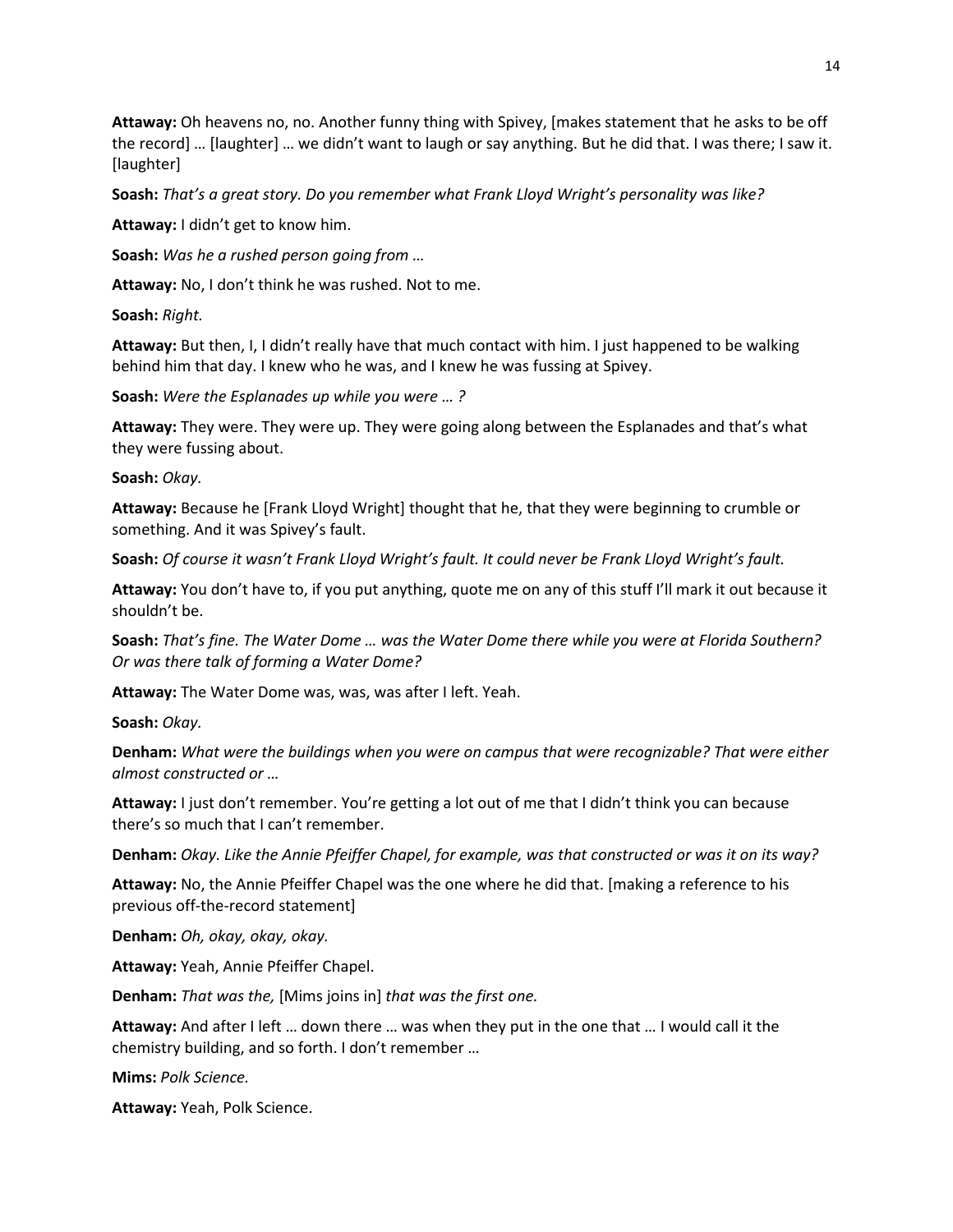**Attaway:** Oh heavens no, no. Another funny thing with Spivey, [makes statement that he asks to be off the record] … [laughter] … we didn't want to laugh or say anything. But he did that. I was there; I saw it. [laughter]

**Soash:** *That's a great story. Do you remember what Frank Lloyd Wright's personality was like?*

**Attaway:** I didn't get to know him.

**Soash:** *Was he a rushed person going from …*

**Attaway:** No, I don't think he was rushed. Not to me.

**Soash:** *Right.*

**Attaway:** But then, I, I didn't really have that much contact with him. I just happened to be walking behind him that day. I knew who he was, and I knew he was fussing at Spivey.

**Soash:** *Were the Esplanades up while you were … ?*

**Attaway:** They were. They were up. They were going along between the Esplanades and that's what they were fussing about.

**Soash:** *Okay.*

**Attaway:** Because he [Frank Lloyd Wright] thought that he, that they were beginning to crumble or something. And it was Spivey's fault.

**Soash:** *Of course it wasn't Frank Lloyd Wright's fault. It could never be Frank Lloyd Wright's fault.*

**Attaway:** You don't have to, if you put anything, quote me on any of this stuff I'll mark it out because it shouldn't be.

**Soash:** *That's fine. The Water Dome … was the Water Dome there while you were at Florida Southern? Or was there talk of forming a Water Dome?*

**Attaway:** The Water Dome was, was, was after I left. Yeah.

**Soash:** *Okay.*

**Denham:** *What were the buildings when you were on campus that were recognizable? That were either almost constructed or …*

**Attaway:** I just don't remember. You're getting a lot out of me that I didn't think you can because there's so much that I can't remember.

**Denham:** *Okay. Like the Annie Pfeiffer Chapel, for example, was that constructed or was it on its way?*

**Attaway:** No, the Annie Pfeiffer Chapel was the one where he did that. [making a reference to his previous off-the-record statement]

**Denham:** *Oh, okay, okay, okay.*

**Attaway:** Yeah, Annie Pfeiffer Chapel.

**Denham:** *That was the,* [Mims joins in] *that was the first one.*

**Attaway:** And after I left … down there … was when they put in the one that … I would call it the chemistry building, and so forth. I don't remember …

**Mims:** *Polk Science.*

**Attaway:** Yeah, Polk Science.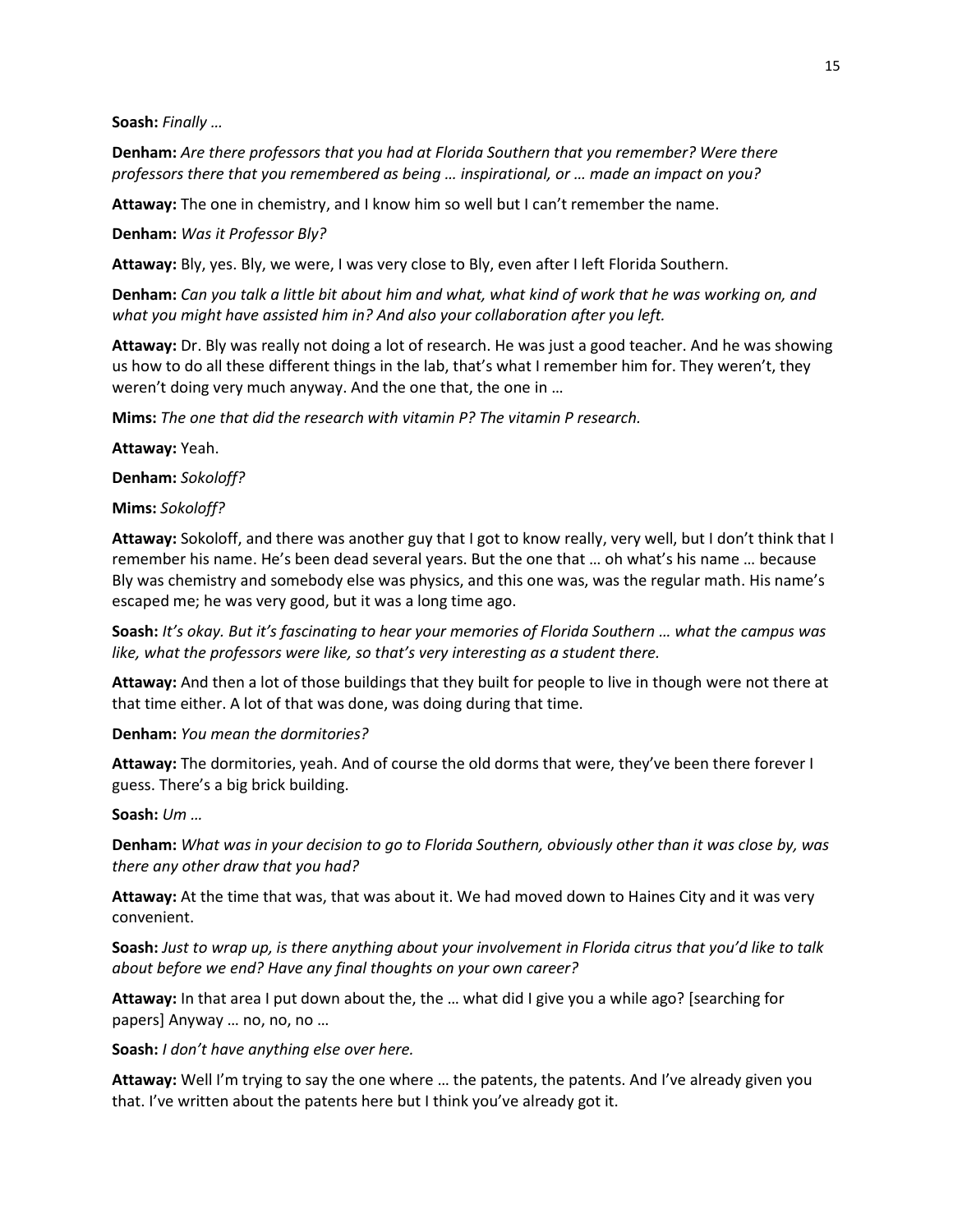**Soash:** *Finally …*

**Denham:** *Are there professors that you had at Florida Southern that you remember? Were there professors there that you remembered as being … inspirational, or … made an impact on you?*

**Attaway:** The one in chemistry, and I know him so well but I can't remember the name.

**Denham:** *Was it Professor Bly?*

**Attaway:** Bly, yes. Bly, we were, I was very close to Bly, even after I left Florida Southern.

**Denham:** *Can you talk a little bit about him and what, what kind of work that he was working on, and what you might have assisted him in? And also your collaboration after you left.*

**Attaway:** Dr. Bly was really not doing a lot of research. He was just a good teacher. And he was showing us how to do all these different things in the lab, that's what I remember him for. They weren't, they weren't doing very much anyway. And the one that, the one in …

**Mims:** *The one that did the research with vitamin P? The vitamin P research.*

**Attaway:** Yeah.

**Denham:** *Sokoloff?*

**Mims:** *Sokoloff?*

**Attaway:** Sokoloff, and there was another guy that I got to know really, very well, but I don't think that I remember his name. He's been dead several years. But the one that … oh what's his name … because Bly was chemistry and somebody else was physics, and this one was, was the regular math. His name's escaped me; he was very good, but it was a long time ago.

**Soash:** *It's okay. But it's fascinating to hear your memories of Florida Southern … what the campus was like, what the professors were like, so that's very interesting as a student there.*

**Attaway:** And then a lot of those buildings that they built for people to live in though were not there at that time either. A lot of that was done, was doing during that time.

**Denham:** *You mean the dormitories?*

**Attaway:** The dormitories, yeah. And of course the old dorms that were, they've been there forever I guess. There's a big brick building.

**Soash:** *Um …*

**Denham:** *What was in your decision to go to Florida Southern, obviously other than it was close by, was there any other draw that you had?*

**Attaway:** At the time that was, that was about it. We had moved down to Haines City and it was very convenient.

**Soash:** *Just to wrap up, is there anything about your involvement in Florida citrus that you'd like to talk about before we end? Have any final thoughts on your own career?*

**Attaway:** In that area I put down about the, the … what did I give you a while ago? [searching for papers] Anyway … no, no, no …

**Soash:** *I don't have anything else over here.*

**Attaway:** Well I'm trying to say the one where … the patents, the patents. And I've already given you that. I've written about the patents here but I think you've already got it.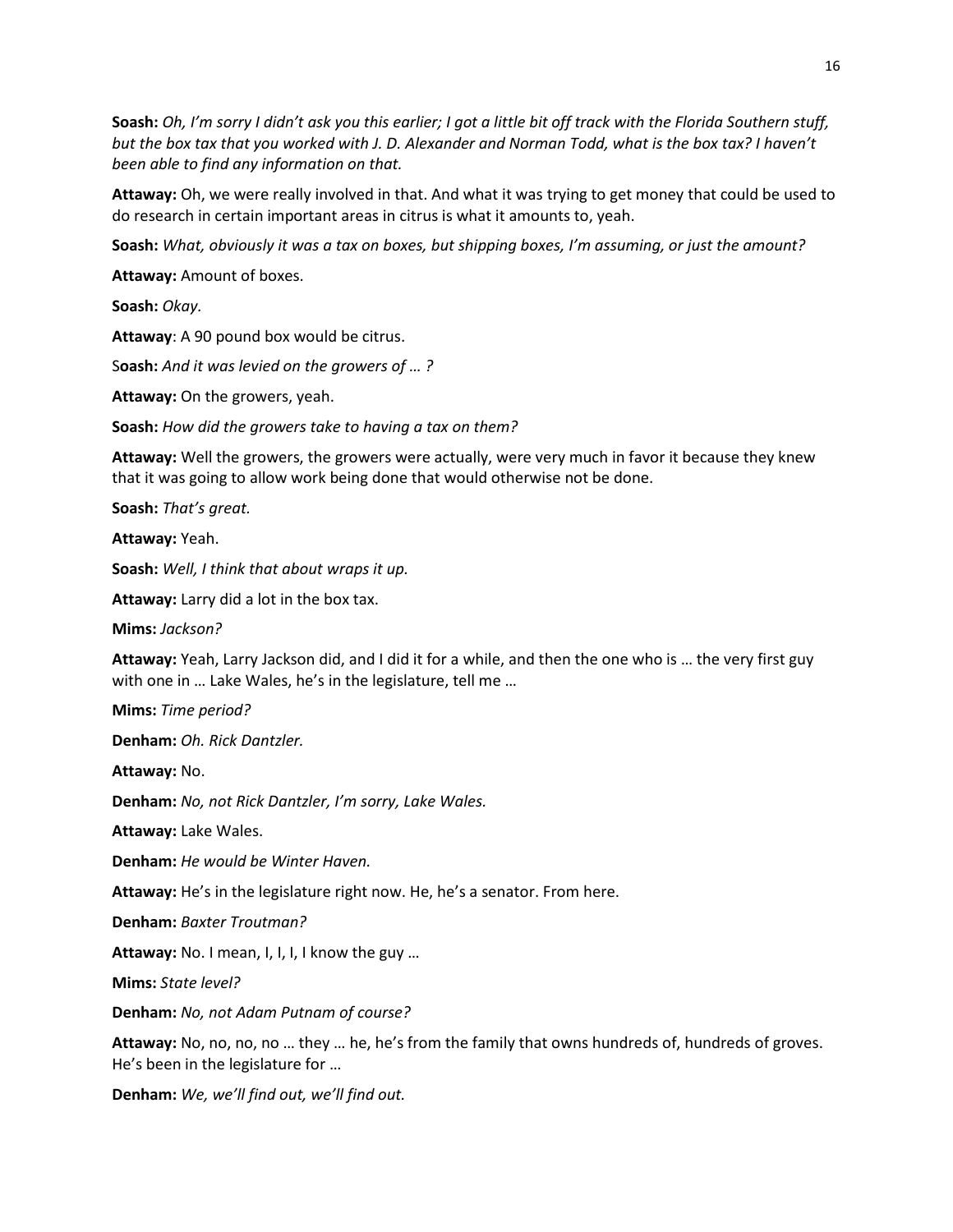**Soash:** *Oh, I'm sorry I didn't ask you this earlier; I got a little bit off track with the Florida Southern stuff, but the box tax that you worked with J. D. Alexander and Norman Todd, what is the box tax? I haven't been able to find any information on that.*

**Attaway:** Oh, we were really involved in that. And what it was trying to get money that could be used to do research in certain important areas in citrus is what it amounts to, yeah.

**Soash:** *What, obviously it was a tax on boxes, but shipping boxes, I'm assuming, or just the amount?*

**Attaway:** Amount of boxes.

**Soash:** *Okay.*

**Attaway**: A 90 pound box would be citrus.

S**oash:** *And it was levied on the growers of … ?*

**Attaway:** On the growers, yeah.

**Soash:** *How did the growers take to having a tax on them?*

**Attaway:** Well the growers, the growers were actually, were very much in favor it because they knew that it was going to allow work being done that would otherwise not be done.

**Soash:** *That's great.*

**Attaway:** Yeah.

**Soash:** *Well, I think that about wraps it up.*

**Attaway:** Larry did a lot in the box tax.

**Mims:** *Jackson?*

**Attaway:** Yeah, Larry Jackson did, and I did it for a while, and then the one who is … the very first guy with one in ... Lake Wales, he's in the legislature, tell me ...

**Mims:** *Time period?*

**Denham:** *Oh. Rick Dantzler.*

**Attaway:** No.

**Denham:** *No, not Rick Dantzler, I'm sorry, Lake Wales.*

**Attaway:** Lake Wales.

**Denham:** *He would be Winter Haven.*

**Attaway:** He's in the legislature right now. He, he's a senator. From here.

**Denham:** *Baxter Troutman?*

**Attaway:** No. I mean, I, I, I, I know the guy …

**Mims:** *State level?*

**Denham:** *No, not Adam Putnam of course?*

**Attaway:** No, no, no, no … they … he, he's from the family that owns hundreds of, hundreds of groves. He's been in the legislature for …

**Denham:** *We, we'll find out, we'll find out.*